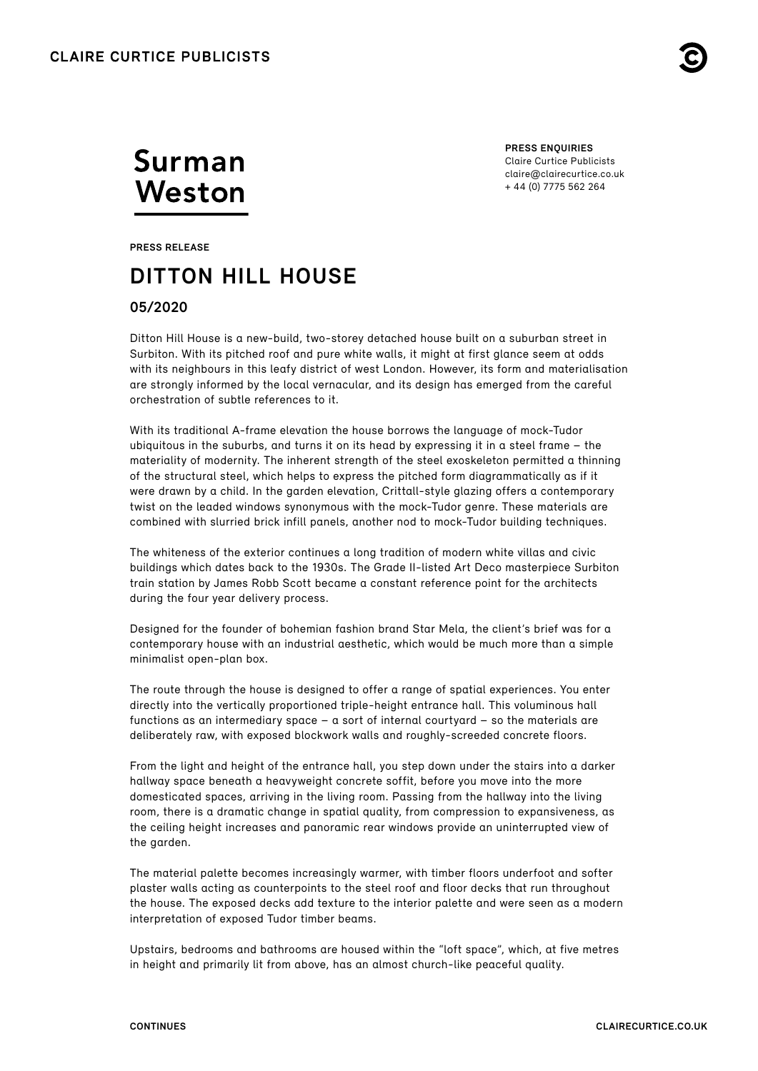

# Surman Weston

**PRESS ENQUIRIES** Claire Curtice Publicists [claire@clairecurtice.co.uk](mailto:claire@clairecurtice.co.uk) + 44 (0) 7775 562 264

**PRESS RELEASE**

# **DITTON HILL HOUSE**

## **05/2020**

Ditton Hill House is a new-build, two-storey detached house built on a suburban street in Surbiton. With its pitched roof and pure white walls, it might at first glance seem at odds with its neighbours in this leafy district of west London. However, its form and materialisation are strongly informed by the local vernacular, and its design has emerged from the careful orchestration of subtle references to it.

With its traditional A-frame elevation the house borrows the language of mock-Tudor ubiquitous in the suburbs, and turns it on its head by expressing it in a steel frame – the materiality of modernity. The inherent strength of the steel exoskeleton permitted a thinning of the structural steel, which helps to express the pitched form diagrammatically as if it were drawn by a child. In the garden elevation, Crittall-style glazing offers a contemporary twist on the leaded windows synonymous with the mock-Tudor genre. These materials are combined with slurried brick infill panels, another nod to mock-Tudor building techniques.

The whiteness of the exterior continues a long tradition of modern white villas and civic buildings which dates back to the 1930s. The Grade II-listed Art Deco masterpiece Surbiton train station by James Robb Scott became a constant reference point for the architects during the four year delivery process.

Designed for the founder of bohemian fashion brand Star Mela, the client's brief was for a contemporary house with an industrial aesthetic, which would be much more than a simple minimalist open-plan box.

The route through the house is designed to offer a range of spatial experiences. You enter directly into the vertically proportioned triple-height entrance hall. This voluminous hall functions as an intermediary space – a sort of internal courtyard – so the materials are deliberately raw, with exposed blockwork walls and roughly-screeded concrete floors.

From the light and height of the entrance hall, you step down under the stairs into a darker hallway space beneath a heavyweight concrete soffit, before you move into the more domesticated spaces, arriving in the living room. Passing from the hallway into the living room, there is a dramatic change in spatial quality, from compression to expansiveness, as the ceiling height increases and panoramic rear windows provide an uninterrupted view of the garden.

The material palette becomes increasingly warmer, with timber floors underfoot and softer plaster walls acting as counterpoints to the steel roof and floor decks that run throughout the house. The exposed decks add texture to the interior palette and were seen as a modern interpretation of exposed Tudor timber beams.

Upstairs, bedrooms and bathrooms are housed within the "loft space", which, at five metres in height and primarily lit from above, has an almost church-like peaceful quality.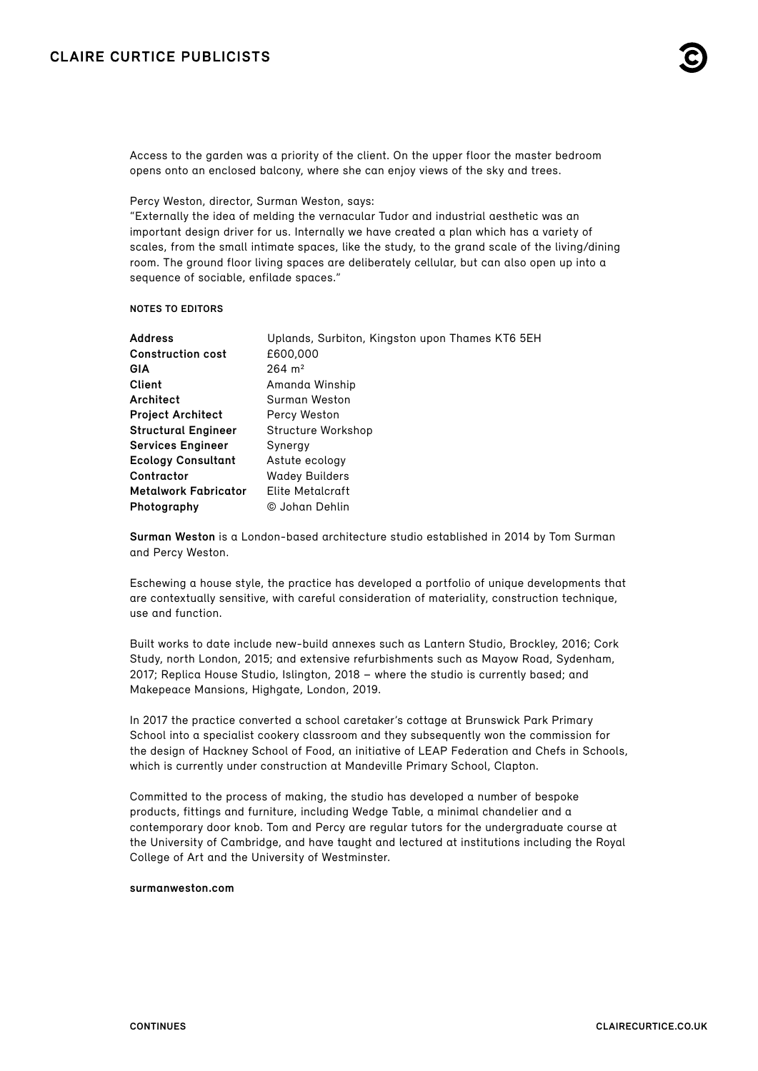

Access to the garden was a priority of the client. On the upper floor the master bedroom opens onto an enclosed balcony, where she can enjoy views of the sky and trees.

Percy Weston, director, Surman Weston, says:

"Externally the idea of melding the vernacular Tudor and industrial aesthetic was an important design driver for us. Internally we have created a plan which has a variety of scales, from the small intimate spaces, like the study, to the grand scale of the living/dining room. The ground floor living spaces are deliberately cellular, but can also open up into a sequence of sociable, enfilade spaces."

### **NOTES TO EDITORS**

| <b>Address</b>              | Uplands, Surbiton, Kingston upon Thames KT6 5EH |
|-----------------------------|-------------------------------------------------|
| <b>Construction cost</b>    | £600,000                                        |
| GIA                         | $264 \; \mathrm{m}^2$                           |
| Client                      | Amanda Winship                                  |
| Architect                   | Surman Weston                                   |
| <b>Project Architect</b>    | Percy Weston                                    |
| <b>Structural Engineer</b>  | Structure Workshop                              |
| <b>Services Engineer</b>    | Synergy                                         |
| <b>Ecology Consultant</b>   | Astute ecology                                  |
| Contractor                  | <b>Wadey Builders</b>                           |
| <b>Metalwork Fabricator</b> | Elite Metalcraft                                |
| Photography                 | © Johan Dehlin                                  |

**Surman Weston** is a London-based architecture studio established in 2014 by Tom Surman and Percy Weston.

Eschewing a house style, the practice has developed a portfolio of unique developments that are contextually sensitive, with careful consideration of materiality, construction technique, use and function.

Built works to date include new-build annexes such as Lantern Studio, Brockley, 2016; Cork Study, north London, 2015; and extensive refurbishments such as Mayow Road, Sydenham, 2017; Replica House Studio, Islington, 2018 – where the studio is currently based; and Makepeace Mansions, Highgate, London, 2019.

In 2017 the practice converted a school caretaker's cottage at Brunswick Park Primary School into a specialist cookery classroom and they subsequently won the commission for the design of Hackney School of Food, an initiative of LEAP Federation and Chefs in Schools, which is currently under construction at Mandeville Primary School, Clapton.

Committed to the process of making, the studio has developed a number of bespoke products, fittings and furniture, including Wedge Table, a minimal chandelier and a contemporary door knob. Tom and Percy are regular tutors for the undergraduate course at the University of Cambridge, and have taught and lectured at institutions including the Royal College of Art and the University of Westminster.

### **[surmanweston.com](http://surmanweston.com)**